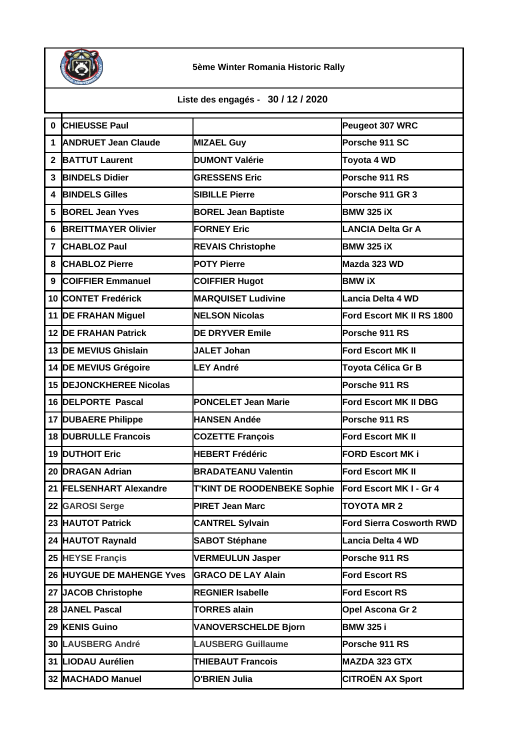

## **5ème Winter Romania Historic Rally**

**Liste des engagés - 30 / 12 / 2020** 

| $\mathbf 0$    | <b>CHIEUSSE Paul</b>           |                                    | Peugeot 307 WRC                 |
|----------------|--------------------------------|------------------------------------|---------------------------------|
| 1              | <b>ANDRUET Jean Claude</b>     | <b>MIZAEL Guy</b>                  | Porsche 911 SC                  |
| $\mathbf{2}$   | <b>BATTUT Laurent</b>          | <b>DUMONT Valérie</b>              | Toyota 4 WD                     |
| 3              | <b>BINDELS Didier</b>          | <b>GRESSENS Eric</b>               | Porsche 911 RS                  |
| 4              | <b>BINDELS Gilles</b>          | <b>SIBILLE Pierre</b>              | Porsche 911 GR 3                |
| 5              | <b>BOREL Jean Yves</b>         | <b>BOREL Jean Baptiste</b>         | <b>BMW 325 iX</b>               |
| 6              | <b>BREITTMAYER Olivier</b>     | <b>FORNEY Eric</b>                 | <b>LANCIA Delta Gr A</b>        |
| $\overline{7}$ | <b>CHABLOZ Paul</b>            | <b>REVAIS Christophe</b>           | <b>BMW 325 iX</b>               |
| 8              | <b>CHABLOZ Pierre</b>          | <b>POTY Pierre</b>                 | Mazda 323 WD                    |
| 9              | <b>COIFFIER Emmanuel</b>       | <b>COIFFIER Hugot</b>              | <b>BMW iX</b>                   |
|                | 10 CONTET Fredérick            | <b>MARQUISET Ludivine</b>          | Lancia Delta 4 WD               |
|                | 11 <b>DE FRAHAN Miguel</b>     | <b>NELSON Nicolas</b>              | Ford Escort MK II RS 1800       |
|                | <b>12 DE FRAHAN Patrick</b>    | <b>DE DRYVER Emile</b>             | Porsche 911 RS                  |
|                | 13 DE MEVIUS Ghislain          | <b>JALET Johan</b>                 | <b>Ford Escort MK II</b>        |
|                | 14 DE MEVIUS Grégoire          | <b>LEY André</b>                   | Toyota Célica Gr B              |
|                | <b>15 DEJONCKHEREE Nicolas</b> |                                    | Porsche 911 RS                  |
|                | 16 DELPORTE Pascal             | <b>PONCELET Jean Marie</b>         | Ford Escort MK II DBG           |
|                | 17 DUBAERE Philippe            | <b>HANSEN Andée</b>                | Porsche 911 RS                  |
|                | <b>18 DUBRULLE Francois</b>    | <b>COZETTE François</b>            | <b>Ford Escort MK II</b>        |
|                | <b>19 DUTHOIT Eric</b>         | <b>HEBERT Frédéric</b>             | <b>FORD Escort MK i</b>         |
|                | 20 DRAGAN Adrian               | <b>BRADATEANU Valentin</b>         | <b>Ford Escort MK II</b>        |
|                | 21 FELSENHART Alexandre        | <b>T'KINT DE ROODENBEKE Sophie</b> | Ford Escort MK I - Gr 4         |
|                | 22 GAROSI Serge                | <b>PIRET Jean Marc</b>             | <b>TOYOTA MR 2</b>              |
|                | 23 HAUTOT Patrick              | <b>CANTREL Sylvain</b>             | <b>Ford Sierra Cosworth RWD</b> |
|                | 24 HAUTOT Raynald              | <b>SABOT Stéphane</b>              | Lancia Delta 4 WD               |
|                | 25 HEYSE Françis               | <b>VERMEULUN Jasper</b>            | Porsche 911 RS                  |
|                | 26 HUYGUE DE MAHENGE Yves      | <b>GRACO DE LAY Alain</b>          | <b>Ford Escort RS</b>           |
|                | 27 JACOB Christophe            | <b>REGNIER Isabelle</b>            | <b>Ford Escort RS</b>           |
|                | 28 JANEL Pascal                | <b>TORRES alain</b>                | Opel Ascona Gr 2                |
|                | 29 KENIS Guino                 | <b>VANOVERSCHELDE Bjorn</b>        | <b>BMW 325 i</b>                |
|                | 30 LAUSBERG André              | <b>LAUSBERG Guillaume</b>          | Porsche 911 RS                  |
|                | 31 LIODAU Aurélien             | <b>THIEBAUT Francois</b>           | <b>MAZDA 323 GTX</b>            |
|                | 32 MACHADO Manuel              | <b>O'BRIEN Julia</b>               | <b>CITROËN AX Sport</b>         |